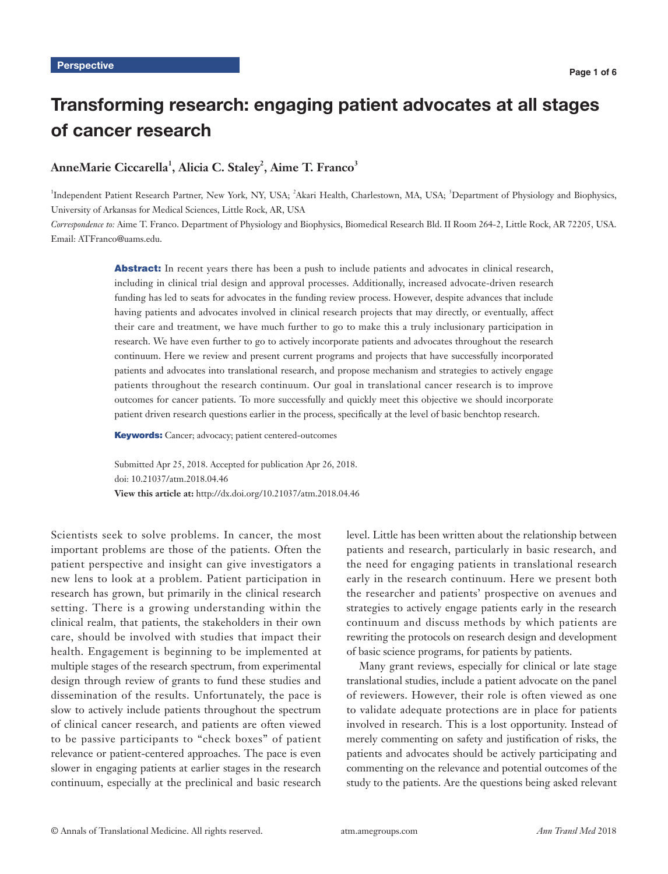# Transforming research: engaging patient advocates at all stages of cancer research

# AnneMarie Ciccarella<sup>1</sup>, Alicia C. Staley<sup>2</sup>, Aime T. Franco<sup>3</sup>

<sup>1</sup>Independent Patient Research Partner, New York, NY, USA; <sup>2</sup>Akari Health, Charlestown, MA, USA; <sup>3</sup>Department of Physiology and Biophysics, University of Arkansas for Medical Sciences, Little Rock, AR, USA

*Correspondence to:* Aime T. Franco. Department of Physiology and Biophysics, Biomedical Research Bld. II Room 264-2, Little Rock, AR 72205, USA. Email: ATFranco@uams.edu.

> Abstract: In recent years there has been a push to include patients and advocates in clinical research, including in clinical trial design and approval processes. Additionally, increased advocate-driven research funding has led to seats for advocates in the funding review process. However, despite advances that include having patients and advocates involved in clinical research projects that may directly, or eventually, affect their care and treatment, we have much further to go to make this a truly inclusionary participation in research. We have even further to go to actively incorporate patients and advocates throughout the research continuum. Here we review and present current programs and projects that have successfully incorporated patients and advocates into translational research, and propose mechanism and strategies to actively engage patients throughout the research continuum. Our goal in translational cancer research is to improve outcomes for cancer patients. To more successfully and quickly meet this objective we should incorporate patient driven research questions earlier in the process, specifically at the level of basic benchtop research.

Keywords: Cancer; advocacy; patient centered-outcomes

Submitted Apr 25, 2018. Accepted for publication Apr 26, 2018. doi: 10.21037/atm.2018.04.46 **View this article at:** http://dx.doi.org/10.21037/atm.2018.04.46

Scientists seek to solve problems. In cancer, the most important problems are those of the patients. Often the patient perspective and insight can give investigators a new lens to look at a problem. Patient participation in research has grown, but primarily in the clinical research setting. There is a growing understanding within the clinical realm, that patients, the stakeholders in their own care, should be involved with studies that impact their health. Engagement is beginning to be implemented at multiple stages of the research spectrum, from experimental design through review of grants to fund these studies and dissemination of the results. Unfortunately, the pace is slow to actively include patients throughout the spectrum of clinical cancer research, and patients are often viewed to be passive participants to "check boxes" of patient relevance or patient-centered approaches. The pace is even slower in engaging patients at earlier stages in the research continuum, especially at the preclinical and basic research level. Little has been written about the relationship between patients and research, particularly in basic research, and the need for engaging patients in translational research early in the research continuum. Here we present both the researcher and patients' prospective on avenues and strategies to actively engage patients early in the research continuum and discuss methods by which patients are rewriting the protocols on research design and development of basic science programs, for patients by patients.

Many grant reviews, especially for clinical or late stage translational studies, include a patient advocate on the panel of reviewers. However, their role is often viewed as one to validate adequate protections are in place for patients involved in research. This is a lost opportunity. Instead of merely commenting on safety and justification of risks, the patients and advocates should be actively participating and commenting on the relevance and potential outcomes of the study to the patients. Are the questions being asked relevant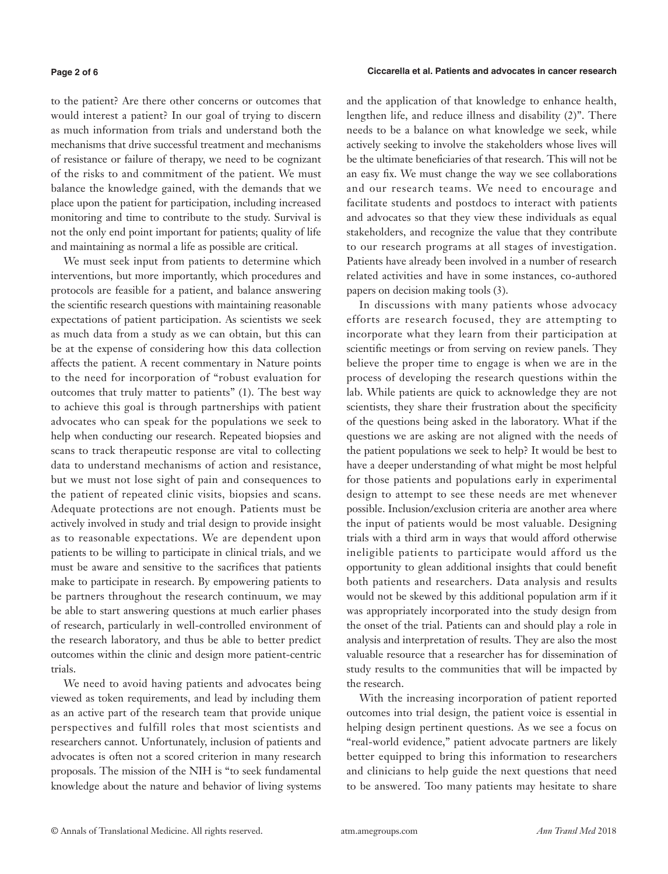#### **Page 2 of 6**

to the patient? Are there other concerns or outcomes that would interest a patient? In our goal of trying to discern as much information from trials and understand both the mechanisms that drive successful treatment and mechanisms of resistance or failure of therapy, we need to be cognizant of the risks to and commitment of the patient. We must balance the knowledge gained, with the demands that we place upon the patient for participation, including increased monitoring and time to contribute to the study. Survival is not the only end point important for patients; quality of life and maintaining as normal a life as possible are critical.

We must seek input from patients to determine which interventions, but more importantly, which procedures and protocols are feasible for a patient, and balance answering the scientific research questions with maintaining reasonable expectations of patient participation. As scientists we seek as much data from a study as we can obtain, but this can be at the expense of considering how this data collection affects the patient. A recent commentary in Nature points to the need for incorporation of "robust evaluation for outcomes that truly matter to patients" (1). The best way to achieve this goal is through partnerships with patient advocates who can speak for the populations we seek to help when conducting our research. Repeated biopsies and scans to track therapeutic response are vital to collecting data to understand mechanisms of action and resistance, but we must not lose sight of pain and consequences to the patient of repeated clinic visits, biopsies and scans. Adequate protections are not enough. Patients must be actively involved in study and trial design to provide insight as to reasonable expectations. We are dependent upon patients to be willing to participate in clinical trials, and we must be aware and sensitive to the sacrifices that patients make to participate in research. By empowering patients to be partners throughout the research continuum, we may be able to start answering questions at much earlier phases of research, particularly in well-controlled environment of the research laboratory, and thus be able to better predict outcomes within the clinic and design more patient-centric trials.

We need to avoid having patients and advocates being viewed as token requirements, and lead by including them as an active part of the research team that provide unique perspectives and fulfill roles that most scientists and researchers cannot. Unfortunately, inclusion of patients and advocates is often not a scored criterion in many research proposals. The mission of the NIH is "to seek fundamental knowledge about the nature and behavior of living systems and the application of that knowledge to enhance health, lengthen life, and reduce illness and disability (2)". There needs to be a balance on what knowledge we seek, while actively seeking to involve the stakeholders whose lives will be the ultimate beneficiaries of that research. This will not be an easy fix. We must change the way we see collaborations and our research teams. We need to encourage and facilitate students and postdocs to interact with patients and advocates so that they view these individuals as equal stakeholders, and recognize the value that they contribute to our research programs at all stages of investigation. Patients have already been involved in a number of research related activities and have in some instances, co-authored papers on decision making tools (3).

In discussions with many patients whose advocacy efforts are research focused, they are attempting to incorporate what they learn from their participation at scientific meetings or from serving on review panels. They believe the proper time to engage is when we are in the process of developing the research questions within the lab. While patients are quick to acknowledge they are not scientists, they share their frustration about the specificity of the questions being asked in the laboratory. What if the questions we are asking are not aligned with the needs of the patient populations we seek to help? It would be best to have a deeper understanding of what might be most helpful for those patients and populations early in experimental design to attempt to see these needs are met whenever possible. Inclusion/exclusion criteria are another area where the input of patients would be most valuable. Designing trials with a third arm in ways that would afford otherwise ineligible patients to participate would afford us the opportunity to glean additional insights that could benefit both patients and researchers. Data analysis and results would not be skewed by this additional population arm if it was appropriately incorporated into the study design from the onset of the trial. Patients can and should play a role in analysis and interpretation of results. They are also the most valuable resource that a researcher has for dissemination of study results to the communities that will be impacted by the research.

With the increasing incorporation of patient reported outcomes into trial design, the patient voice is essential in helping design pertinent questions. As we see a focus on "real-world evidence," patient advocate partners are likely better equipped to bring this information to researchers and clinicians to help guide the next questions that need to be answered. Too many patients may hesitate to share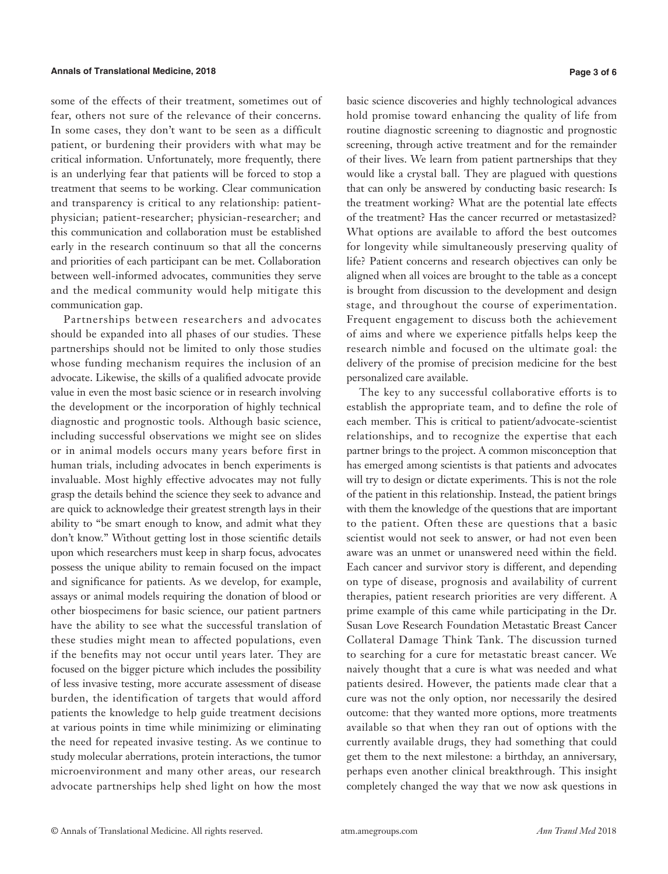some of the effects of their treatment, sometimes out of fear, others not sure of the relevance of their concerns. In some cases, they don't want to be seen as a difficult patient, or burdening their providers with what may be critical information. Unfortunately, more frequently, there is an underlying fear that patients will be forced to stop a treatment that seems to be working. Clear communication and transparency is critical to any relationship: patientphysician; patient-researcher; physician-researcher; and this communication and collaboration must be established early in the research continuum so that all the concerns and priorities of each participant can be met. Collaboration between well-informed advocates, communities they serve and the medical community would help mitigate this communication gap.

Partnerships between researchers and advocates should be expanded into all phases of our studies. These partnerships should not be limited to only those studies whose funding mechanism requires the inclusion of an advocate. Likewise, the skills of a qualified advocate provide value in even the most basic science or in research involving the development or the incorporation of highly technical diagnostic and prognostic tools. Although basic science, including successful observations we might see on slides or in animal models occurs many years before first in human trials, including advocates in bench experiments is invaluable. Most highly effective advocates may not fully grasp the details behind the science they seek to advance and are quick to acknowledge their greatest strength lays in their ability to "be smart enough to know, and admit what they don't know." Without getting lost in those scientific details upon which researchers must keep in sharp focus, advocates possess the unique ability to remain focused on the impact and significance for patients. As we develop, for example, assays or animal models requiring the donation of blood or other biospecimens for basic science, our patient partners have the ability to see what the successful translation of these studies might mean to affected populations, even if the benefits may not occur until years later. They are focused on the bigger picture which includes the possibility of less invasive testing, more accurate assessment of disease burden, the identification of targets that would afford patients the knowledge to help guide treatment decisions at various points in time while minimizing or eliminating the need for repeated invasive testing. As we continue to study molecular aberrations, protein interactions, the tumor microenvironment and many other areas, our research advocate partnerships help shed light on how the most

basic science discoveries and highly technological advances hold promise toward enhancing the quality of life from routine diagnostic screening to diagnostic and prognostic screening, through active treatment and for the remainder of their lives. We learn from patient partnerships that they would like a crystal ball. They are plagued with questions that can only be answered by conducting basic research: Is the treatment working? What are the potential late effects of the treatment? Has the cancer recurred or metastasized? What options are available to afford the best outcomes for longevity while simultaneously preserving quality of life? Patient concerns and research objectives can only be aligned when all voices are brought to the table as a concept is brought from discussion to the development and design stage, and throughout the course of experimentation. Frequent engagement to discuss both the achievement of aims and where we experience pitfalls helps keep the research nimble and focused on the ultimate goal: the delivery of the promise of precision medicine for the best personalized care available.

The key to any successful collaborative efforts is to establish the appropriate team, and to define the role of each member. This is critical to patient/advocate-scientist relationships, and to recognize the expertise that each partner brings to the project. A common misconception that has emerged among scientists is that patients and advocates will try to design or dictate experiments. This is not the role of the patient in this relationship. Instead, the patient brings with them the knowledge of the questions that are important to the patient. Often these are questions that a basic scientist would not seek to answer, or had not even been aware was an unmet or unanswered need within the field. Each cancer and survivor story is different, and depending on type of disease, prognosis and availability of current therapies, patient research priorities are very different. A prime example of this came while participating in the Dr. Susan Love Research Foundation Metastatic Breast Cancer Collateral Damage Think Tank. The discussion turned to searching for a cure for metastatic breast cancer. We naively thought that a cure is what was needed and what patients desired. However, the patients made clear that a cure was not the only option, nor necessarily the desired outcome: that they wanted more options, more treatments available so that when they ran out of options with the currently available drugs, they had something that could get them to the next milestone: a birthday, an anniversary, perhaps even another clinical breakthrough. This insight completely changed the way that we now ask questions in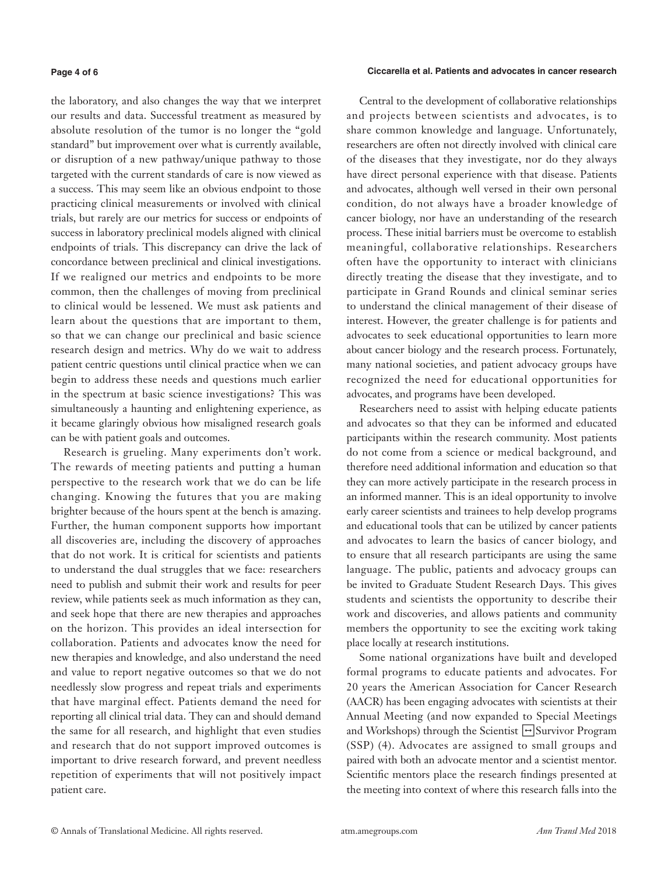#### **Page 4 of 6**

### **Ciccarella et al. Patients and advocates in cancer research**

the laboratory, and also changes the way that we interpret our results and data. Successful treatment as measured by absolute resolution of the tumor is no longer the "gold standard" but improvement over what is currently available, or disruption of a new pathway/unique pathway to those targeted with the current standards of care is now viewed as a success. This may seem like an obvious endpoint to those practicing clinical measurements or involved with clinical trials, but rarely are our metrics for success or endpoints of success in laboratory preclinical models aligned with clinical endpoints of trials. This discrepancy can drive the lack of concordance between preclinical and clinical investigations. If we realigned our metrics and endpoints to be more common, then the challenges of moving from preclinical to clinical would be lessened. We must ask patients and learn about the questions that are important to them, so that we can change our preclinical and basic science research design and metrics. Why do we wait to address patient centric questions until clinical practice when we can begin to address these needs and questions much earlier in the spectrum at basic science investigations? This was simultaneously a haunting and enlightening experience, as it became glaringly obvious how misaligned research goals can be with patient goals and outcomes.

Research is grueling. Many experiments don't work. The rewards of meeting patients and putting a human perspective to the research work that we do can be life changing. Knowing the futures that you are making brighter because of the hours spent at the bench is amazing. Further, the human component supports how important all discoveries are, including the discovery of approaches that do not work. It is critical for scientists and patients to understand the dual struggles that we face: researchers need to publish and submit their work and results for peer review, while patients seek as much information as they can, and seek hope that there are new therapies and approaches on the horizon. This provides an ideal intersection for collaboration. Patients and advocates know the need for new therapies and knowledge, and also understand the need and value to report negative outcomes so that we do not needlessly slow progress and repeat trials and experiments that have marginal effect. Patients demand the need for reporting all clinical trial data. They can and should demand the same for all research, and highlight that even studies and research that do not support improved outcomes is important to drive research forward, and prevent needless repetition of experiments that will not positively impact patient care.

Central to the development of collaborative relationships and projects between scientists and advocates, is to share common knowledge and language. Unfortunately, researchers are often not directly involved with clinical care of the diseases that they investigate, nor do they always have direct personal experience with that disease. Patients and advocates, although well versed in their own personal condition, do not always have a broader knowledge of cancer biology, nor have an understanding of the research process. These initial barriers must be overcome to establish meaningful, collaborative relationships. Researchers often have the opportunity to interact with clinicians directly treating the disease that they investigate, and to participate in Grand Rounds and clinical seminar series to understand the clinical management of their disease of interest. However, the greater challenge is for patients and advocates to seek educational opportunities to learn more about cancer biology and the research process. Fortunately, many national societies, and patient advocacy groups have recognized the need for educational opportunities for advocates, and programs have been developed.

Researchers need to assist with helping educate patients and advocates so that they can be informed and educated participants within the research community. Most patients do not come from a science or medical background, and therefore need additional information and education so that they can more actively participate in the research process in an informed manner. This is an ideal opportunity to involve early career scientists and trainees to help develop programs and educational tools that can be utilized by cancer patients and advocates to learn the basics of cancer biology, and to ensure that all research participants are using the same language. The public, patients and advocacy groups can be invited to Graduate Student Research Days. This gives students and scientists the opportunity to describe their work and discoveries, and allows patients and community members the opportunity to see the exciting work taking place locally at research institutions.

Some national organizations have built and developed formal programs to educate patients and advocates. For 20 years the American Association for Cancer Research (AACR) has been engaging advocates with scientists at their Annual Meeting (and now expanded to Special Meetings and Workshops) through the Scientist  $\rightarrow$  Survivor Program (SSP) (4). Advocates are assigned to small groups and paired with both an advocate mentor and a scientist mentor. Scientific mentors place the research findings presented at the meeting into context of where this research falls into the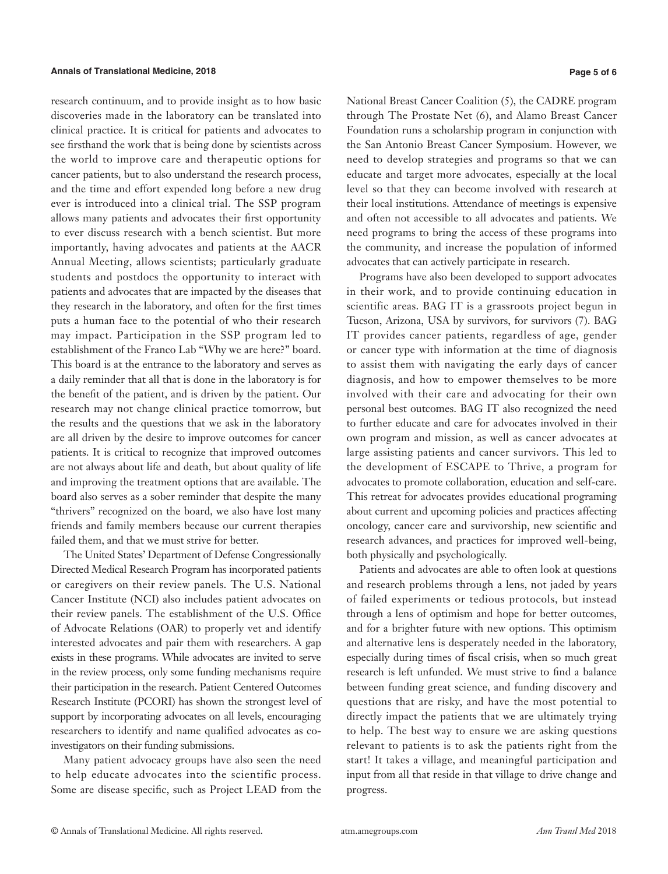research continuum, and to provide insight as to how basic discoveries made in the laboratory can be translated into clinical practice. It is critical for patients and advocates to see firsthand the work that is being done by scientists across the world to improve care and therapeutic options for cancer patients, but to also understand the research process, and the time and effort expended long before a new drug ever is introduced into a clinical trial. The SSP program allows many patients and advocates their first opportunity to ever discuss research with a bench scientist. But more importantly, having advocates and patients at the AACR Annual Meeting, allows scientists; particularly graduate students and postdocs the opportunity to interact with patients and advocates that are impacted by the diseases that they research in the laboratory, and often for the first times puts a human face to the potential of who their research may impact. Participation in the SSP program led to establishment of the Franco Lab "Why we are here?" board. This board is at the entrance to the laboratory and serves as a daily reminder that all that is done in the laboratory is for the benefit of the patient, and is driven by the patient. Our research may not change clinical practice tomorrow, but the results and the questions that we ask in the laboratory are all driven by the desire to improve outcomes for cancer patients. It is critical to recognize that improved outcomes are not always about life and death, but about quality of life and improving the treatment options that are available. The board also serves as a sober reminder that despite the many "thrivers" recognized on the board, we also have lost many friends and family members because our current therapies failed them, and that we must strive for better.

The United States' Department of Defense Congressionally Directed Medical Research Program has incorporated patients or caregivers on their review panels. The U.S. National Cancer Institute (NCI) also includes patient advocates on their review panels. The establishment of the U.S. Office of Advocate Relations (OAR) to properly vet and identify interested advocates and pair them with researchers. A gap exists in these programs. While advocates are invited to serve in the review process, only some funding mechanisms require their participation in the research. Patient Centered Outcomes Research Institute (PCORI) has shown the strongest level of support by incorporating advocates on all levels, encouraging researchers to identify and name qualified advocates as coinvestigators on their funding submissions.

Many patient advocacy groups have also seen the need to help educate advocates into the scientific process. Some are disease specific, such as Project LEAD from the

National Breast Cancer Coalition (5), the CADRE program through The Prostate Net (6), and Alamo Breast Cancer Foundation runs a scholarship program in conjunction with the San Antonio Breast Cancer Symposium. However, we need to develop strategies and programs so that we can educate and target more advocates, especially at the local level so that they can become involved with research at their local institutions. Attendance of meetings is expensive and often not accessible to all advocates and patients. We need programs to bring the access of these programs into the community, and increase the population of informed advocates that can actively participate in research.

Programs have also been developed to support advocates in their work, and to provide continuing education in scientific areas. BAG IT is a grassroots project begun in Tucson, Arizona, USA by survivors, for survivors (7). BAG IT provides cancer patients, regardless of age, gender or cancer type with information at the time of diagnosis to assist them with navigating the early days of cancer diagnosis, and how to empower themselves to be more involved with their care and advocating for their own personal best outcomes. BAG IT also recognized the need to further educate and care for advocates involved in their own program and mission, as well as cancer advocates at large assisting patients and cancer survivors. This led to the development of ESCAPE to Thrive, a program for advocates to promote collaboration, education and self-care. This retreat for advocates provides educational programing about current and upcoming policies and practices affecting oncology, cancer care and survivorship, new scientific and research advances, and practices for improved well-being, both physically and psychologically.

Patients and advocates are able to often look at questions and research problems through a lens, not jaded by years of failed experiments or tedious protocols, but instead through a lens of optimism and hope for better outcomes, and for a brighter future with new options. This optimism and alternative lens is desperately needed in the laboratory, especially during times of fiscal crisis, when so much great research is left unfunded. We must strive to find a balance between funding great science, and funding discovery and questions that are risky, and have the most potential to directly impact the patients that we are ultimately trying to help. The best way to ensure we are asking questions relevant to patients is to ask the patients right from the start! It takes a village, and meaningful participation and input from all that reside in that village to drive change and progress.